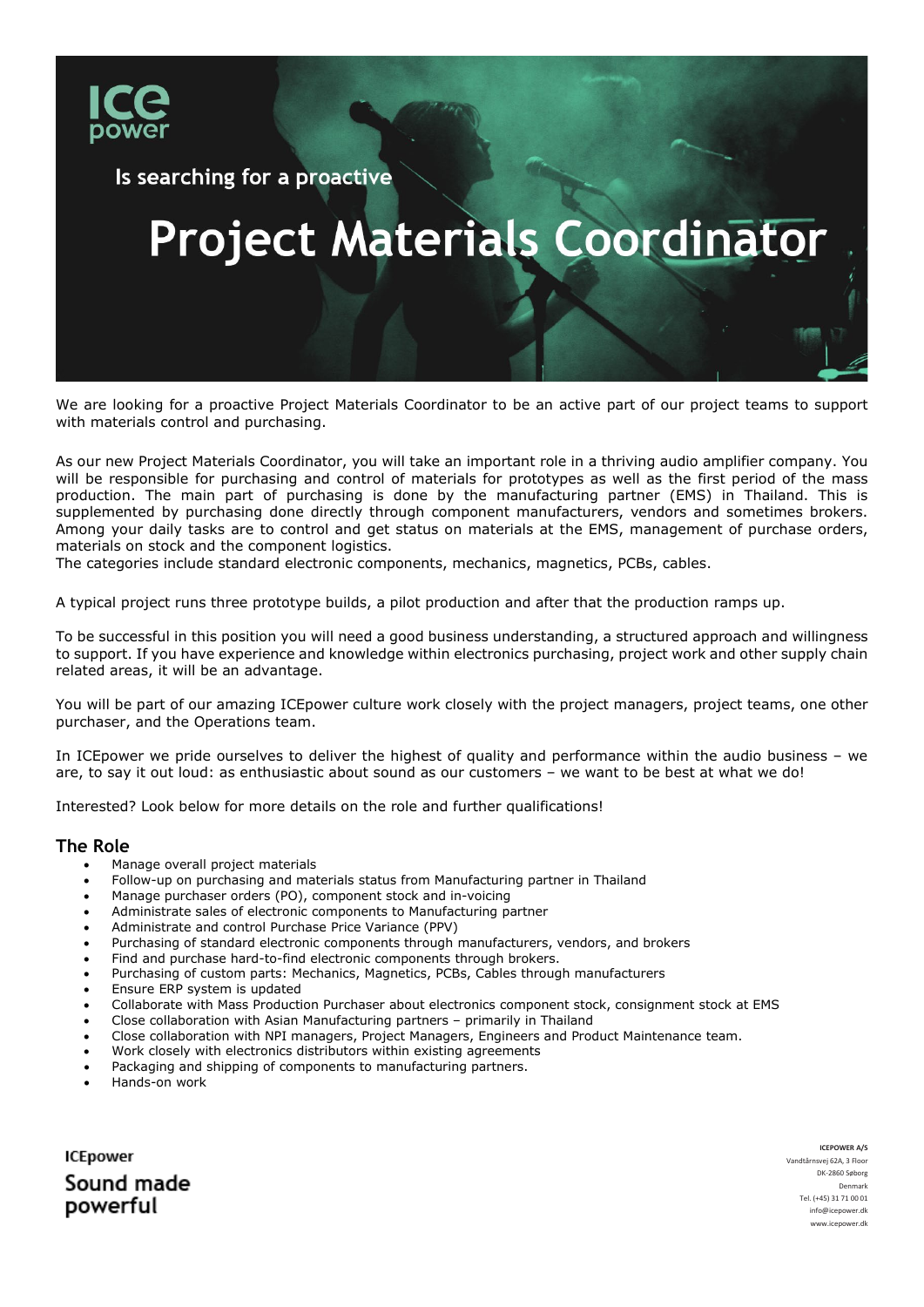

Is searching for a proactive

# **Project Materials Coordinator**

We are looking for a proactive Project Materials Coordinator to be an active part of our project teams to support with materials control and purchasing.

As our new Project Materials Coordinator, you will take an important role in a thriving audio amplifier company. You will be responsible for purchasing and control of materials for prototypes as well as the first period of the mass production. The main part of purchasing is done by the manufacturing partner (EMS) in Thailand. This is supplemented by purchasing done directly through component manufacturers, vendors and sometimes brokers. Among your daily tasks are to control and get status on materials at the EMS, management of purchase orders, materials on stock and the component logistics.

The categories include standard electronic components, mechanics, magnetics, PCBs, cables.

A typical project runs three prototype builds, a pilot production and after that the production ramps up.

To be successful in this position you will need a good business understanding, a structured approach and willingness to support. If you have experience and knowledge within electronics purchasing, project work and other supply chain related areas, it will be an advantage.

You will be part of our amazing ICEpower culture work closely with the project managers, project teams, one other purchaser, and the Operations team.

In ICEpower we pride ourselves to deliver the highest of quality and performance within the audio business – we are, to say it out loud: as enthusiastic about sound as our customers – we want to be best at what we do!

Interested? Look below for more details on the role and further qualifications!

#### **The Role**

- Manage overall project materials
- Follow-up on purchasing and materials status from Manufacturing partner in Thailand
- Manage purchaser orders (PO), component stock and in-voicing
- Administrate sales of electronic components to Manufacturing partner
- Administrate and control Purchase Price Variance (PPV)
- Purchasing of standard electronic components through manufacturers, vendors, and brokers
- Find and purchase hard-to-find electronic components through brokers.
- Purchasing of custom parts: Mechanics, Magnetics, PCBs, Cables through manufacturers
- Ensure ERP system is updated
- Collaborate with Mass Production Purchaser about electronics component stock, consignment stock at EMS
- Close collaboration with Asian Manufacturing partners primarily in Thailand
- Close collaboration with NPI managers, Project Managers, Engineers and Product Maintenance team.
- Work closely with electronics distributors within existing agreements
- Packaging and shipping of components to manufacturing partners.
- Hands-on work

**ICEpower** Sound made powerful

**ICEPOWER A/S** Vandtårnsvej 62A, 3 Floor DK-2860 Søborg Denmark Tel. (+45) 31 71 00 01 [info@icepower.dk](mailto:info@icepower.dk) ww.icepower.dk